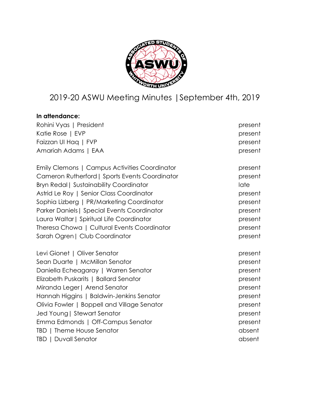

# 2019-20 ASWU Meeting Minutes |September 4th, 2019

| In attendance:                                 |         |
|------------------------------------------------|---------|
| Rohini Vyas   President                        | present |
| Katie Rose   EVP                               | present |
| Faizzan UI Hag   FVP                           | present |
| Amariah Adams   EAA                            | present |
| Emily Clemons   Campus Activities Coordinator  | present |
| Cameron Rutherford   Sports Events Coordinator | present |
| <b>Bryn Redal   Sustainability Coordinator</b> | late    |
| Astrid Le Roy   Senior Class Coordinator       | present |
| Sophia Lizberg   PR/Marketing Coordinator      | present |
| Parker Daniels   Special Events Coordinator    | present |
| Laura Waltar   Spiritual Life Coordinator      | present |
| Theresa Chowa   Cultural Events Coordinator    | present |
| Sarah Ogren   Club Coordinator                 | present |
| Levi Gionet   Oliver Senator                   | present |
| Sean Duarte   McMillan Senator                 | present |
| Daniella Echeagaray   Warren Senator           | present |
| Elizabeth Puskarits   Ballard Senator          | present |
| Miranda Leger   Arend Senator                  | present |
| Hannah Higgins   Baldwin-Jenkins Senator       | present |
| Olivia Fowler   Boppell and Village Senator    | present |
| Jed Young   Stewart Senator                    | present |
| Emma Edmonds   Off-Campus Senator              | present |
| TBD   Theme House Senator                      | absent  |
| <b>TBD   Duvall Senator</b>                    | absent  |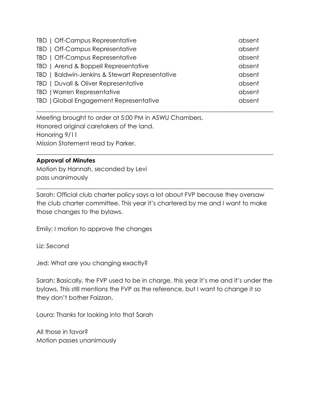| TBD   Off-Campus Representative                | absent |
|------------------------------------------------|--------|
| TBD   Off-Campus Representative                | absent |
| TBD   Off-Campus Representative                | absent |
| TBD   Arend & Boppell Representative           | absent |
| TBD   Baldwin-Jenkins & Stewart Representative | absent |
| TBD   Duvall & Oliver Representative           | absent |
| TBD   Warren Representative                    | absent |
| TBD   Global Engagement Representative         | absent |

\_\_\_\_\_\_\_\_\_\_\_\_\_\_\_\_\_\_\_\_\_\_\_\_\_\_\_\_\_\_\_\_\_\_\_\_\_\_\_\_\_\_\_\_\_\_\_\_\_\_\_\_\_\_\_\_\_\_\_\_\_\_\_\_\_\_\_\_\_\_\_\_\_\_\_\_\_\_

\_\_\_\_\_\_\_\_\_\_\_\_\_\_\_\_\_\_\_\_\_\_\_\_\_\_\_\_\_\_\_\_\_\_\_\_\_\_\_\_\_\_\_\_\_\_\_\_\_\_\_\_\_\_\_\_\_\_\_\_\_\_\_\_\_\_\_\_\_\_\_\_\_\_\_\_\_\_

Meeting brought to order at 5:00 PM in ASWU Chambers. Honored original caretakers of the land. Honoring 9/11 Mission Statement read by Parker.

#### **Approval of Minutes**

Motion by Hannah, seconded by Levi pass unanimously

Sarah: Official club charter policy says a lot about FVP because they oversaw the club charter committee. This year it's chartered by me and I want to make those changes to the bylaws.

\_\_\_\_\_\_\_\_\_\_\_\_\_\_\_\_\_\_\_\_\_\_\_\_\_\_\_\_\_\_\_\_\_\_\_\_\_\_\_\_\_\_\_\_\_\_\_\_\_\_\_\_\_\_\_\_\_\_\_\_\_\_\_\_\_\_\_\_\_\_\_\_\_\_\_\_\_\_

Emily: I motion to approve the changes

Liz: Second

Jed: What are you changing exactly?

Sarah: Basically, the FVP used to be in charge, this year it's me and it's under the bylaws. This still mentions the FVP as the reference, but I want to change it so they don't bother Faizzan.

Laura: Thanks for looking into that Sarah

All those in favor? Motion passes unanimously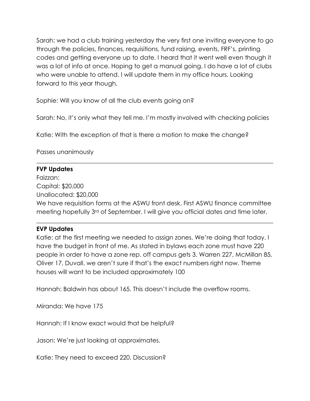Sarah: we had a club training yesterday the very first one inviting everyone to go through the policies, finances, requisitions, fund raising, events, FRF's, printing codes and getting everyone up to date. I heard that it went well even though it was a lot of info at once. Hoping to get a manual going. I do have a lot of clubs who were unable to attend. I will update them in my office hours. Looking forward to this year though.

Sophie: Will you know of all the club events going on?

Sarah: No, it's only what they tell me. I'm mostly involved with checking policies

Katie: With the exception of that is there a motion to make the change?

Passes unanimously

# **FVP Updates**

Faizzan:

Capital: \$20,000

Unallocated: \$20,000

We have requisition forms at the ASWU front desk. First ASWU finance committee meeting hopefully 3rd of September. I will give you official dates and time later.

\_\_\_\_\_\_\_\_\_\_\_\_\_\_\_\_\_\_\_\_\_\_\_\_\_\_\_\_\_\_\_\_\_\_\_\_\_\_\_\_\_\_\_\_\_\_\_\_\_\_\_\_\_\_\_\_\_\_\_\_\_\_\_\_\_\_\_\_\_\_\_\_\_\_\_\_\_\_

\_\_\_\_\_\_\_\_\_\_\_\_\_\_\_\_\_\_\_\_\_\_\_\_\_\_\_\_\_\_\_\_\_\_\_\_\_\_\_\_\_\_\_\_\_\_\_\_\_\_\_\_\_\_\_\_\_\_\_\_\_\_\_\_\_\_\_\_\_\_\_\_\_\_\_\_\_\_

# **EVP Updates**

Katie: at the first meeting we needed to assign zones. We're doing that today. I have the budget in front of me. As stated in bylaws each zone must have 220 people in order to have a zone rep. off campus gets 3. Warren 227, McMillan 85, Oliver 17, Duvall. we aren't sure if that's the exact numbers right now. Theme houses will want to be included approximately 100

Hannah: Baldwin has about 165. This doesn't include the overflow rooms.

Miranda: We have 175

Hannah: If I know exact would that be helpful?

Jason: We're just looking at approximates.

Katie: They need to exceed 220. Discussion?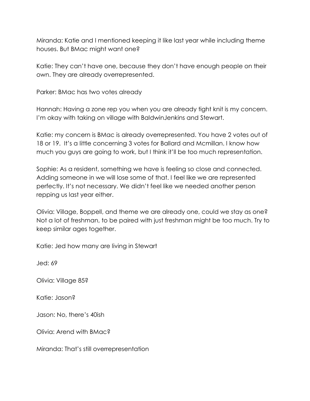Miranda: Katie and I mentioned keeping it like last year while including theme houses. But BMac might want one?

Katie: They can't have one, because they don't have enough people on their own. They are already overrepresented.

Parker: BMac has two votes already

Hannah: Having a zone rep you when you are already tight knit is my concern. I'm okay with taking on village with BaldwinJenkins and Stewart.

Katie: my concern is BMac is already overrepresented. You have 2 votes out of 18 or 19. It's a little concerning 3 votes for Ballard and Mcmillan. I know how much you guys are going to work, but I think it'll be too much representation.

Sophie: As a resident, something we have is feeling so close and connected. Adding someone in we will lose some of that. I feel like we are represented perfectly. It's not necessary. We didn't feel like we needed another person repping us last year either.

Olivia: Village, Boppell, and theme we are already one, could we stay as one? Not a lot of freshman, to be paired with just freshman might be too much. Try to keep similar ages together.

Katie: Jed how many are living in Stewart

Jed: 69

Olivia: Village 85?

Katie: Jason?

Jason: No, there's 40ish

Olivia: Arend with BMac?

Miranda: That's still overrepresentation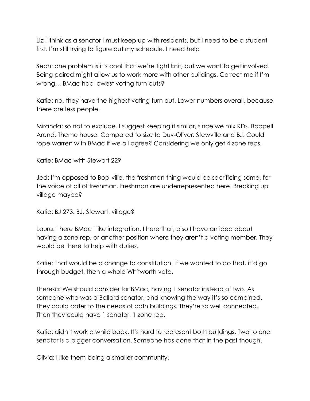Liz: I think as a senator I must keep up with residents, but I need to be a student first. I'm still trying to figure out my schedule. I need help

Sean: one problem is it's cool that we're tight knit, but we want to get involved. Being paired might allow us to work more with other buildings. Correct me if I'm wrong… BMac had lowest voting turn outs?

Katie: no, they have the highest voting turn out. Lower numbers overall, because there are less people.

Miranda: so not to exclude. I suggest keeping it similar, since we mix RDs. Boppell Arend, Theme house. Compared to size to Duv-Oliver. Stewville and BJ. Could rope warren with BMac if we all agree? Considering we only get 4 zone reps.

Katie: BMac with Stewart 229

Jed: I'm opposed to Bop-ville, the freshman thing would be sacrificing some, for the voice of all of freshman. Freshman are underrepresented here. Breaking up village maybe?

Katie: BJ 273. BJ, Stewart, village?

Laura: I here BMac I like integration. I here that, also I have an idea about having a zone rep, or another position where they aren't a voting member. They would be there to help with duties.

Katie: That would be a change to constitution. If we wanted to do that, it'd go through budget, then a whole Whitworth vote.

Theresa: We should consider for BMac, having 1 senator instead of two. As someone who was a Ballard senator, and knowing the way it's so combined. They could cater to the needs of both buildings. They're so well connected. Then they could have 1 senator, 1 zone rep.

Katie: didn't work a while back. It's hard to represent both buildings. Two to one senator is a bigger conversation. Someone has done that in the past though.

Olivia: I like them being a smaller community.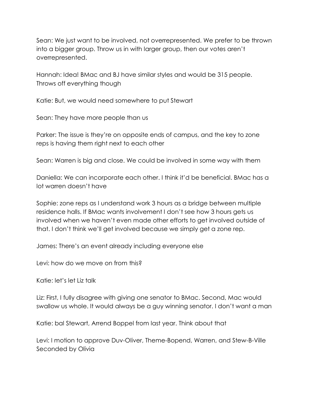Sean: We just want to be involved, not overrepresented. We prefer to be thrown into a bigger group. Throw us in with larger group, then our votes aren't overrepresented.

Hannah: Idea! BMac and BJ have similar styles and would be 315 people. Throws off everything though

Katie: But, we would need somewhere to put Stewart

Sean: They have more people than us

Parker: The issue is they're on opposite ends of campus, and the key to zone reps is having them right next to each other

Sean: Warren is big and close. We could be involved in some way with them

Daniella: We can incorporate each other. I think it'd be beneficial. BMac has a lot warren doesn't have

Sophie: zone reps as I understand work 3 hours as a bridge between multiple residence halls. If BMac wants involvement I don't see how 3 hours gets us involved when we haven't even made other efforts to get involved outside of that. I don't think we'll get involved because we simply get a zone rep.

James: There's an event already including everyone else

Levi: how do we move on from this?

Katie: let's let Liz talk

Liz: First, I fully disagree with giving one senator to BMac. Second, Mac would swallow us whole. It would always be a guy winning senator. I don't want a man

Katie: bal Stewart, Arrend Boppel from last year. Think about that

Levi: I motion to approve Duv-Oliver, Theme-Bopend, Warren, and Stew-B-Ville Seconded by Olivia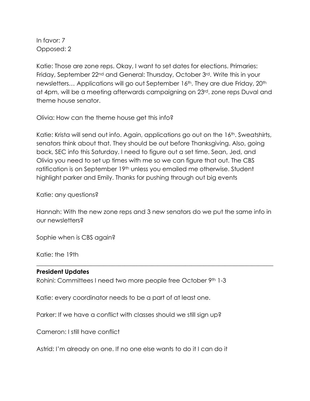In favor: 7 Opposed: 2

Katie: Those are zone reps. Okay, I want to set dates for elections. Primaries: Friday, September 22<sup>nd</sup> and General: Thursday, October 3<sup>rd</sup>. Write this in your newsletters... Applications will go out September 16<sup>th</sup>. They are due Friday, 20<sup>th</sup> at 4pm, will be a meeting afterwards campaigning on 23rd. zone reps Duval and theme house senator.

Olivia: How can the theme house get this info?

Katie: Krista will send out info. Again, applications go out on the 16<sup>th</sup>. Sweatshirts, senators think about that. They should be out before Thanksgiving. Also, going back, SEC info this Saturday. I need to figure out a set time. Sean, Jed, and Olivia you need to set up times with me so we can figure that out. The CBS ratification is on September 19<sup>th</sup> unless you emailed me otherwise. Student highlight parker and Emily. Thanks for pushing through out big events

Katie: any questions?

Hannah: With the new zone reps and 3 new senators do we put the same info in our newsletters?

\_\_\_\_\_\_\_\_\_\_\_\_\_\_\_\_\_\_\_\_\_\_\_\_\_\_\_\_\_\_\_\_\_\_\_\_\_\_\_\_\_\_\_\_\_\_\_\_\_\_\_\_\_\_\_\_\_\_\_\_\_\_\_\_\_\_\_\_\_\_\_\_\_\_\_\_\_\_

Sophie when is CBS again?

Katie: the 19th

#### **President Updates**

Rohini: Committees I need two more people free October 9th 1-3

Katie: every coordinator needs to be a part of at least one.

Parker: If we have a conflict with classes should we still sign up?

Cameron: I still have conflict

Astrid: I'm already on one. If no one else wants to do it I can do it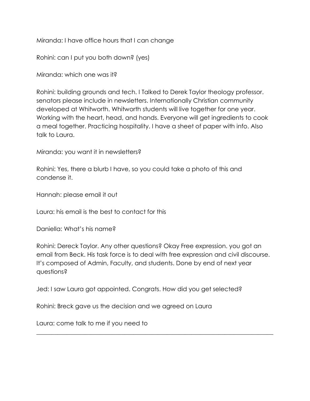Miranda: I have office hours that I can change

Rohini: can I put you both down? (yes)

Miranda: which one was it?

Rohini: building grounds and tech. I Talked to Derek Taylor theology professor. senators please include in newsletters. Internationally Christian community developed at Whitworth. Whitworth students will live together for one year. Working with the heart, head, and hands. Everyone will get ingredients to cook a meal together. Practicing hospitality. I have a sheet of paper with info. Also talk to Laura.

Miranda: you want it in newsletters?

Rohini: Yes, there a blurb I have, so you could take a photo of this and condense it.

Hannah: please email it out

Laura: his email is the best to contact for this

Daniella: What's his name?

Rohini: Dereck Taylor. Any other questions? Okay Free expression. you got an email from Beck. His task force is to deal with free expression and civil discourse. It's composed of Admin, Faculty, and students. Done by end of next year questions?

\_\_\_\_\_\_\_\_\_\_\_\_\_\_\_\_\_\_\_\_\_\_\_\_\_\_\_\_\_\_\_\_\_\_\_\_\_\_\_\_\_\_\_\_\_\_\_\_\_\_\_\_\_\_\_\_\_\_\_\_\_\_\_\_\_\_\_\_\_\_\_\_\_\_\_\_\_\_

Jed: I saw Laura got appointed. Congrats. How did you get selected?

Rohini: Breck gave us the decision and we agreed on Laura

Laura: come talk to me if you need to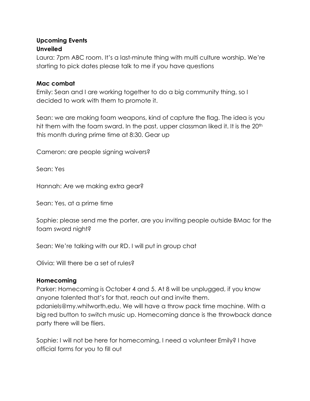## **Upcoming Events Unveiled**

Laura: 7pm ABC room. It's a last-minute thing with multi culture worship. We're starting to pick dates please talk to me if you have questions

## **Mac combat**

Emily: Sean and I are working together to do a big community thing, so I decided to work with them to promote it.

Sean: we are making foam weapons, kind of capture the flag. The idea is you hit them with the foam sward. In the past, upper classman liked it. It is the 20<sup>th</sup> this month during prime time at 8:30. Gear up

Cameron: are people signing waivers?

Sean: Yes

Hannah: Are we making extra gear?

Sean: Yes, at a prime time

Sophie: please send me the porter, are you inviting people outside BMac for the foam sword night?

Sean: We're talking with our RD. I will put in group chat

Olivia: Will there be a set of rules?

## **Homecoming**

Parker: Homecoming is October 4 and 5. At 8 will be unplugged, if you know anyone talented that's for that, reach out and invite them. pdaniels@my.whitworth.edu. We will have a throw pack time machine. With a big red button to switch music up. Homecoming dance is the throwback dance party there will be fliers.

Sophie: I will not be here for homecoming. I need a volunteer Emily? I have official forms for you to fill out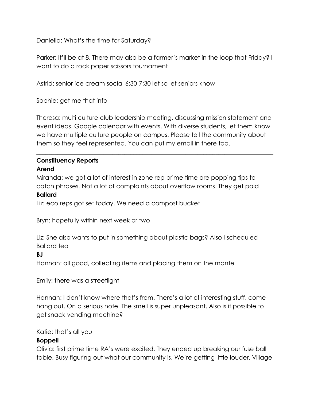Daniella: What's the time for Saturday?

Parker: It'll be at 8. There may also be a farmer's market in the loop that Friday? I want to do a rock paper scissors tournament

Astrid: senior ice cream social 6:30-7:30 let so let seniors know

Sophie: get me that info

Theresa: multi culture club leadership meeting, discussing mission statement and event ideas. Google calendar with events. With diverse students, let them know we have multiple culture people on campus. Please tell the community about them so they feel represented. You can put my email in there too.

\_\_\_\_\_\_\_\_\_\_\_\_\_\_\_\_\_\_\_\_\_\_\_\_\_\_\_\_\_\_\_\_\_\_\_\_\_\_\_\_\_\_\_\_\_\_\_\_\_\_\_\_\_\_\_\_\_\_\_\_\_\_\_\_\_\_\_\_\_\_\_\_\_\_\_\_\_\_

#### **Constituency Reports Arend**

Miranda: we got a lot of interest in zone rep prime time are popping tips to catch phrases. Not a lot of complaints about overflow rooms. They get paid

## **Ballard**

Liz: eco reps got set today. We need a compost bucket

Bryn: hopefully within next week or two

Liz: She also wants to put in something about plastic bags? Also I scheduled Ballard tea

#### **BJ**

Hannah: all good, collecting items and placing them on the mantel

Emily: there was a streetlight

Hannah: I don't know where that's from. There's a lot of interesting stuff, come hang out. On a serious note. The smell is super unpleasant. Also is it possible to get snack vending machine?

## Katie: that's all you

## **Boppell**

Olivia: first prime time RA's were excited. They ended up breaking our fuse ball table. Busy figuring out what our community is. We're getting little louder. Village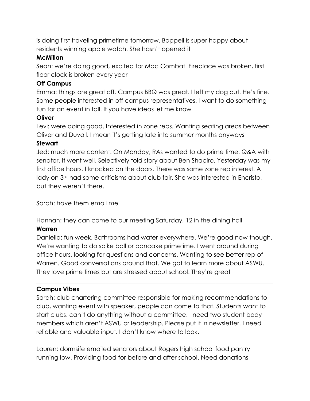is doing first traveling primetime tomorrow. Boppell is super happy about residents winning apple watch. She hasn't opened it

## **McMillan**

Sean: we're doing good, excited for Mac Combat. Fireplace was broken, first floor clock is broken every year

## **Off Campus**

Emma: things are great off. Campus BBQ was great. I left my dog out. He's fine. Some people interested in off campus representatives. I want to do something fun for an event in fall. If you have ideas let me know

## **Oliver**

Levi: were doing good. Interested in zone reps. Wanting seating areas between Oliver and Duvall. I mean it's getting late into summer months anyways

## **Stewart**

Jed: much more content. On Monday, RAs wanted to do prime time. Q&A with senator. It went well. Selectively told story about Ben Shapiro. Yesterday was my first office hours. I knocked on the doors. There was some zone rep interest. A lady on 3<sup>rd</sup> had some criticisms about club fair. She was interested in Encristo, but they weren't there.

Sarah: have them email me

Hannah: they can come to our meeting Saturday, 12 in the dining hall

## **Warren**

Daniella: fun week. Bathrooms had water everywhere. We're good now though. We're wanting to do spike ball or pancake primetime. I went around during office hours, looking for questions and concerns. Wanting to see better rep of Warren. Good conversations around that. We got to learn more about ASWU. They love prime times but are stressed about school. They're great

\_\_\_\_\_\_\_\_\_\_\_\_\_\_\_\_\_\_\_\_\_\_\_\_\_\_\_\_\_\_\_\_\_\_\_\_\_\_\_\_\_\_\_\_\_\_\_\_\_\_\_\_\_\_\_\_\_\_\_\_\_\_\_\_\_\_\_\_\_\_\_\_\_\_\_\_\_\_

## **Campus Vibes**

Sarah: club chartering committee responsible for making recommendations to club, wanting event with speaker, people can come to that. Students want to start clubs, can't do anything without a committee. I need two student body members which aren't ASWU or leadership. Please put it in newsletter. I need reliable and valuable input. I don't know where to look.

Lauren: dormsife emailed senators about Rogers high school food pantry running low. Providing food for before and after school. Need donations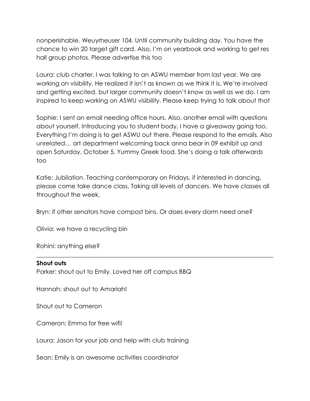nonperishable. Weuyrheuser 104. Until community building day. You have the chance to win 20 target gift card. Also, I'm on yearbook and working to get res hall group photos. Please advertise this too

Laura: club charter. I was talking to an ASWU member from last year. We are working on visibility. He realized it isn't as known as we think it is. We're involved and getting excited, but larger community doesn't know as well as we do. I am inspired to keep working on ASWU visibility. Please keep trying to talk about that

Sophie: I sent an email needing office hours. Also, another email with questions about yourself. Introducing you to student body. I have a giveaway going too. Everything I'm doing is to get ASWU out there. Please respond to the emails. Also unrelated… art department welcoming back anna bear in 09 exhibit up and open Saturday, October 5. Yummy Greek food. She's doing a talk afterwards too

Katie: Jubilation. Teaching contemporary on Fridays, if interested in dancing, please come take dance class. Taking all levels of dancers. We have classes all throughout the week.

\_\_\_\_\_\_\_\_\_\_\_\_\_\_\_\_\_\_\_\_\_\_\_\_\_\_\_\_\_\_\_\_\_\_\_\_\_\_\_\_\_\_\_\_\_\_\_\_\_\_\_\_\_\_\_\_\_\_\_\_\_\_\_\_\_\_\_\_\_\_\_\_\_\_\_\_\_\_

Bryn: if other senators have compost bins. Or does every dorm need one?

Olivia: we have a recycling bin

Rohini: anything else?

#### **Shout outs**

Parker: shout out to Emily. Loved her off campus BBQ

Hannah: shout out to Amariah!

Shout out to Cameron

Cameron: Emma for free wifi!

Laura: Jason for your job and help with club training

Sean: Emily is an awesome activities coordinator